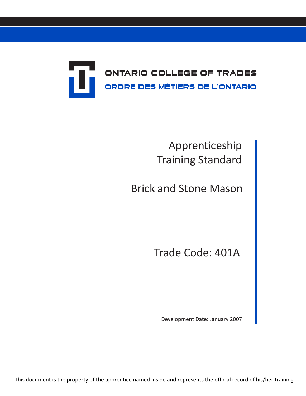

# Apprenticeship Training Standard

Brick and Stone Mason

Trade Code: 401A

Development Date: January 2007

This document is the property of the apprentice named inside and represents the official record of his/her training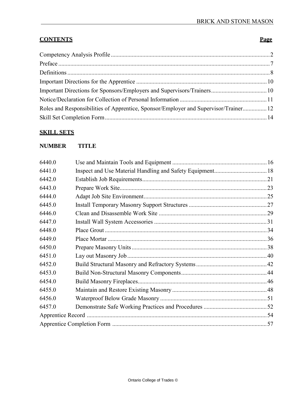# **CONTENTS** Page

| Roles and Responsibilities of Apprentice, Sponsor/Employer and Supervisor/Trainer 12 |  |
|--------------------------------------------------------------------------------------|--|
|                                                                                      |  |

# **SKILL SETS**

# **NUMBER TITLE**

| 6440.0 |  |  |  |
|--------|--|--|--|
| 6441.0 |  |  |  |
| 6442.0 |  |  |  |
| 6443.0 |  |  |  |
| 6444.0 |  |  |  |
| 6445.0 |  |  |  |
| 6446.0 |  |  |  |
| 6447.0 |  |  |  |
| 6448.0 |  |  |  |
| 6449.0 |  |  |  |
| 6450.0 |  |  |  |
| 6451.0 |  |  |  |
| 6452.0 |  |  |  |
| 6453.0 |  |  |  |
| 6454.0 |  |  |  |
| 6455.0 |  |  |  |
| 6456.0 |  |  |  |
| 6457.0 |  |  |  |
|        |  |  |  |
|        |  |  |  |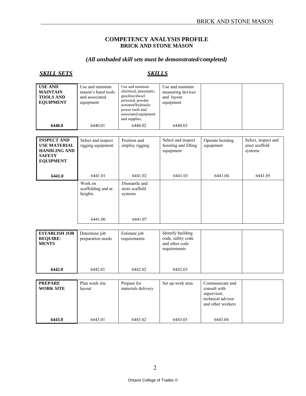#### **COMPETENCY ANALYSIS PROFILE BRICK AND STONE MASON**

# *(All unshaded skill sets must be demonstrated/completed)*

| <b>USE AND</b><br><b>MAINTAIN</b><br><b>TOOLS AND</b><br><b>EQUIPMENT</b> | Use and maintain<br>mason's hand tools<br>and associated<br>equipment | Use and maintain<br>electrical, pneumatic,<br>gasoline/diesel<br>powered, powder<br>actuated/hydraulic<br>power tools and<br>associated equipment<br>and supplies. | Use and maintain<br>measuring devices<br>and layout<br>equipment |  |
|---------------------------------------------------------------------------|-----------------------------------------------------------------------|--------------------------------------------------------------------------------------------------------------------------------------------------------------------|------------------------------------------------------------------|--|
| 6440.0                                                                    | 6440.01                                                               | 6440.02                                                                                                                                                            | 6440.03                                                          |  |

| <b>INSPECT AND</b><br><b>USE MATERIAL</b><br><b>HANDLING AND</b><br><b>SAFETY</b><br><b>EQUIPMENT</b> | Select and inspect<br>rigging equipment             | Position and<br>employ rigging                        | Select and inspect<br>hoisting and lifting<br>equipment | Operate hoisting<br>equipment | Select, inspect and<br>erect scaffold<br>systems |
|-------------------------------------------------------------------------------------------------------|-----------------------------------------------------|-------------------------------------------------------|---------------------------------------------------------|-------------------------------|--------------------------------------------------|
| 6441.0                                                                                                | 6441.01                                             | 6441.02                                               | 6441.03                                                 | 6441.04                       | 6441.05                                          |
|                                                                                                       | Work on<br>scaffolding and at<br>heights<br>6441.06 | Dismantle and<br>store scaffold<br>systems<br>6441.07 |                                                         |                               |                                                  |

| <b>ESTABLISH JOB</b><br><b>REQUIRE-</b><br><b>MENTS</b> | Determine job<br>preparation needs | Estimate job<br>requirements | Identify building<br>code, safety code<br>and other code<br>requirements |  |
|---------------------------------------------------------|------------------------------------|------------------------------|--------------------------------------------------------------------------|--|
| 6442.0                                                  | 6442.01                            | 6442.02                      | 6442.03                                                                  |  |

| <b>PREPARE</b><br><b>WORK SITE</b> | Plan work site<br>layout | Prepare for<br>materials delivery | Set up work area | Communicate and<br>consult with<br>supervisor,<br>technical advisor<br>and other workers |  |
|------------------------------------|--------------------------|-----------------------------------|------------------|------------------------------------------------------------------------------------------|--|
| 6443.0                             | 6443.01                  | 6443.02                           | 6443.03          | 6443.04                                                                                  |  |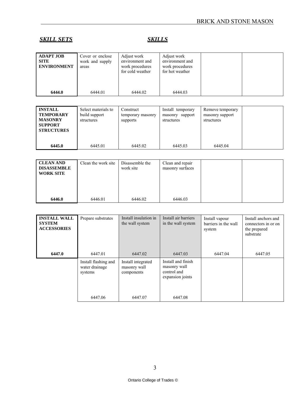| <b>ADAPT JOB</b><br><b>SITE</b><br><b>ENVIRONMENT</b> | Cover or enclose<br>work and supply<br>areas | Adjust work<br>environment and<br>work procedures<br>for cold weather | Adjust work<br>environment and<br>work procedures<br>for hot weather |  |
|-------------------------------------------------------|----------------------------------------------|-----------------------------------------------------------------------|----------------------------------------------------------------------|--|
| 6444.0                                                | 6444.01                                      | 6444.02                                                               | 6444.03                                                              |  |

| <b>INSTALL</b><br><b>TEMPORARY</b><br><b>MASONRY</b><br><b>SUPPORT</b><br><b>STRUCTURES</b> | Select materials to<br>build support<br>structures | Construct<br>temporary masonry<br>supports | Install temporary<br>support<br>masonry<br>structures | Remove temporary<br>masonry support<br>structures |  |
|---------------------------------------------------------------------------------------------|----------------------------------------------------|--------------------------------------------|-------------------------------------------------------|---------------------------------------------------|--|
| 6445.0                                                                                      | 6445.01                                            | 6445.02                                    | 6445.03                                               | 6445.04                                           |  |

| <b>CLEAN AND</b><br><b>DISASSEMBLE</b><br><b>WORK SITE</b> | Clean the work site | Disassemble the<br>work site | Clean and repair<br>masonry surfaces |  |
|------------------------------------------------------------|---------------------|------------------------------|--------------------------------------|--|
| 6446.0                                                     | 6446.01             | 6446.02                      | 6446.03                              |  |

| <b>INSTALL WALL</b><br><b>SYSTEM</b><br><b>ACCESSORIES</b> | Prepare substrates                                           | Install insulation in<br>the wall system                    | Install air barriers<br>in the wall system                                       | Install vapour<br>barriers in the wall<br>system | Install anchors and<br>connectors in or on<br>the prepared<br>substrate |
|------------------------------------------------------------|--------------------------------------------------------------|-------------------------------------------------------------|----------------------------------------------------------------------------------|--------------------------------------------------|-------------------------------------------------------------------------|
| 6447.0                                                     | 6447.01                                                      | 6447.02                                                     | 6447.03                                                                          | 6447.04                                          | 6447.05                                                                 |
|                                                            | Install flashing and<br>water drainage<br>systems<br>6447.06 | Install integrated<br>masonry wall<br>components<br>6447.07 | Install and finish<br>masonry wall<br>control and<br>expansion joints<br>6447.08 |                                                  |                                                                         |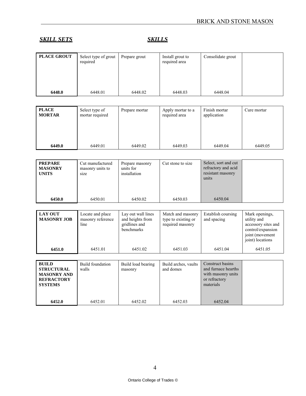| <b>PLACE GROUT</b> | Select type of grout<br>required | Prepare grout | Install grout to<br>required area | Consolidate grout |  |
|--------------------|----------------------------------|---------------|-----------------------------------|-------------------|--|
|                    |                                  |               |                                   |                   |  |
| 6448.0             | 6448.01                          | 6448.02       | 6448.03                           | 6448.04           |  |

| <b>PLACE</b><br><b>MORTAR</b> | Select type of<br>mortar required | Prepare mortar | Apply mortar to a<br>required area | Finish mortar<br>application | Cure mortar |
|-------------------------------|-----------------------------------|----------------|------------------------------------|------------------------------|-------------|
| 6449.0                        | 6449.01                           | 6449.02        | 6449.03                            | 6449.04                      | 6449.05     |

| <b>PREPARE</b><br><b>MASONRY</b><br><b>UNITS</b>                                               | Cut manufactured<br>masonry units to<br>size  | Prepare masonry<br>units for<br>installation                          | Cut stone to size                                            | Select, sort and cut<br>refractory and acid<br>resistant masonry<br>units                   |                                                                                                                  |
|------------------------------------------------------------------------------------------------|-----------------------------------------------|-----------------------------------------------------------------------|--------------------------------------------------------------|---------------------------------------------------------------------------------------------|------------------------------------------------------------------------------------------------------------------|
| 6450.0                                                                                         | 6450.01                                       | 6450.02                                                               | 6450.03                                                      | 6450.04                                                                                     |                                                                                                                  |
|                                                                                                |                                               |                                                                       |                                                              |                                                                                             |                                                                                                                  |
| <b>LAY OUT</b><br><b>MASONRY JOB</b>                                                           | Locate and place<br>masonry reference<br>line | Lay out wall lines<br>and heights from<br>gridlines and<br>benchmarks | Match and masonry<br>type to existing or<br>required masonry | Establish coursing<br>and spacing                                                           | Mark openings,<br>utility and<br>accessory sites and<br>control/expansion<br>joint (movement<br>joint) locations |
| 6451.0                                                                                         | 6451.01                                       | 6451.02                                                               | 6451.03                                                      | 6451.04                                                                                     | 6451.05                                                                                                          |
|                                                                                                |                                               |                                                                       |                                                              |                                                                                             |                                                                                                                  |
| <b>BUILD</b><br><b>STRUCTURAL</b><br><b>MASONRY AND</b><br><b>REFRACTORY</b><br><b>SYSTEMS</b> | <b>Build foundation</b><br>walls              | Build load bearing<br>masonry                                         | Build arches, vaults<br>and domes                            | Construct basins<br>and furnace hearths<br>with masonry units<br>or refractory<br>materials |                                                                                                                  |
| 6452.0                                                                                         | 6452.01                                       | 6452.02                                                               | 6452.03                                                      | 6452.04                                                                                     |                                                                                                                  |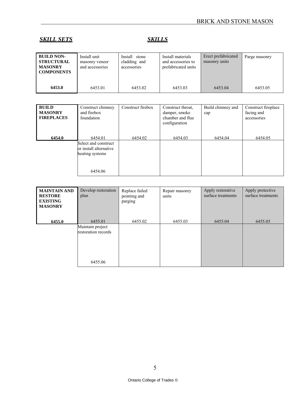| <b>BUILD NON-</b><br><b>STRUCTURAL</b><br><b>MASONRY</b><br><b>COMPONENTS</b> | Install unit<br>masonry veneer<br>and accessories | Install stone<br>cladding and<br>accessories | Install materials<br>and accessories to<br>prefabricated units | Erect prefabricated<br>masonry units | Parge masonry |
|-------------------------------------------------------------------------------|---------------------------------------------------|----------------------------------------------|----------------------------------------------------------------|--------------------------------------|---------------|
| 6453.0                                                                        | 6453.01                                           | 6453.02                                      | 6453.03                                                        | 6453.04                              | 6453.05       |

| <b>BUILD</b><br><b>MASONRY</b><br><b>FIREPLACES</b> | Construct chimney<br>and firebox<br>foundation                                          | Construct firebox | Construct throat,<br>damper, smoke<br>chamber and flue<br>configuration | Build chimney and<br>cap | Construct fireplace<br>facing and<br>accessories |
|-----------------------------------------------------|-----------------------------------------------------------------------------------------|-------------------|-------------------------------------------------------------------------|--------------------------|--------------------------------------------------|
| 6454.0                                              | 6454.01<br>Select and construct<br>or install alternative<br>heating systems<br>6454.06 | 6454.02           | 6454.03                                                                 | 6454.04                  | 6454.05                                          |

| parging                                                       |         |         |         |
|---------------------------------------------------------------|---------|---------|---------|
| 6455.02                                                       | 6455.03 | 6455.04 | 6455.05 |
|                                                               |         |         |         |
| 6455.01<br>Maintain project<br>restoration records<br>6455.06 |         |         |         |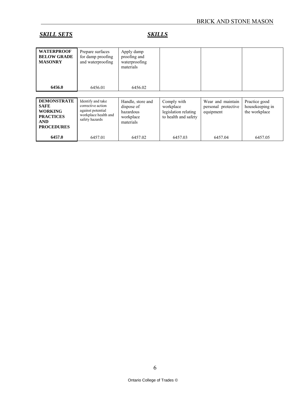| <b>WATERPROOF</b><br><b>BELOW GRADE</b><br><b>MASONRY</b><br>6456.0                                        | Prepare surfaces<br>for damp proofing<br>and waterproofing<br>6456.01                                 | Apply damp<br>proofing and<br>waterproofing<br>materials<br>6456.02    |                                                                          |                                                       |                                                   |
|------------------------------------------------------------------------------------------------------------|-------------------------------------------------------------------------------------------------------|------------------------------------------------------------------------|--------------------------------------------------------------------------|-------------------------------------------------------|---------------------------------------------------|
|                                                                                                            |                                                                                                       |                                                                        |                                                                          |                                                       |                                                   |
| <b>DEMONSTRATE</b><br><b>SAFE</b><br><b>WORKING</b><br><b>PRACTICES</b><br><b>AND</b><br><b>PROCEDURES</b> | Identify and take<br>corrective action<br>against potential<br>workplace health and<br>safety hazards | Handle, store and<br>dispose of<br>hazardous<br>workplace<br>materials | Comply with<br>workplace<br>legislation relating<br>to health and safety | Wear and maintain<br>personal protective<br>equipment | Practice good<br>housekeeping in<br>the workplace |
| 6457.0                                                                                                     | 6457.01                                                                                               | 6457.02                                                                | 6457.03                                                                  | 6457.04                                               | 6457.05                                           |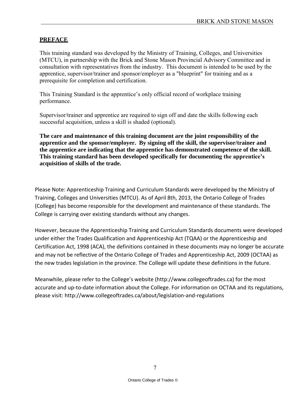#### **PREFACE**

This training standard was developed by the Ministry of Training, Colleges, and Universities (MTCU), in partnership with the Brick and Stone Mason Provincial Advisory Committee and in consultation with representatives from the industry. This document is intended to be used by the apprentice, supervisor/trainer and sponsor/employer as a "blueprint" for training and as a prerequisite for completion and certification.

This Training Standard is the apprentice's only official record of workplace training performance.

Supervisor/trainer and apprentice are required to sign off and date the skills following each successful acquisition, unless a skill is shaded (optional).

**The care and maintenance of this training document are the joint responsibility of the apprentice and the sponsor/employer. By signing off the skill, the supervisor/trainer and the apprentice are indicating that the apprentice has demonstrated competence of the skill. This training standard has been developed specifically for documenting the apprentice's acquisition of skills of the trade.**

Please Note: Apprenticeship Training and Curriculum Standards were developed by the Ministry of Training, Colleges and Universities (MTCU). As of April 8th, 2013, the Ontario College of Trades (College) has become responsible for the development and maintenance of these standards. The College is carrying over existing standards without any changes.

However, because the Apprenticeship Training and Curriculum Standards documents were developed under either the Trades Qualification and Apprenticeship Act (TQAA) or the Apprenticeship and Certification Act, 1998 (ACA), the definitions contained in these documents may no longer be accurate and may not be reflective of the Ontario College of Trades and Apprenticeship Act, 2009 (OCTAA) as the new trades legislation in the province. The College will update these definitions in the future.

Meanwhile, please refer to the College's website (http://www.collegeoftrades.ca) for the most accurate and up-to-date information about the College. For information on OCTAA and its regulations, please visit: http://www.collegeoftrades.ca/about/legislation-and-regulations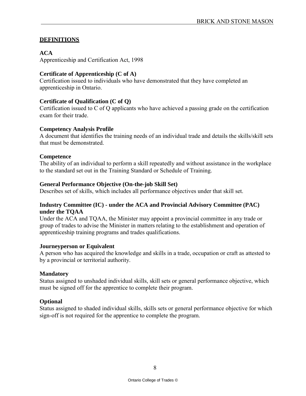### **DEFINITIONS**

#### **ACA**

Apprenticeship and Certification Act, 1998

# **Certificate of Apprenticeship (C of A)**

Certification issued to individuals who have demonstrated that they have completed an apprenticeship in Ontario.

#### **Certificate of Qualification (C of Q)**

Certification issued to C of Q applicants who have achieved a passing grade on the certification exam for their trade.

#### **Competency Analysis Profile**

A document that identifies the training needs of an individual trade and details the skills/skill sets that must be demonstrated.

#### **Competence**

The ability of an individual to perform a skill repeatedly and without assistance in the workplace to the standard set out in the Training Standard or Schedule of Training.

#### **General Performance Objective (On-the-job Skill Set)**

Describes set of skills, which includes all performance objectives under that skill set.

#### **Industry Committee (IC) - under the ACA and Provincial Advisory Committee (PAC) under the TQAA**

Under the ACA and TQAA, the Minister may appoint a provincial committee in any trade or group of trades to advise the Minister in matters relating to the establishment and operation of apprenticeship training programs and trades qualifications.

#### **Journeyperson or Equivalent**

A person who has acquired the knowledge and skills in a trade, occupation or craft as attested to by a provincial or territorial authority.

#### **Mandatory**

Status assigned to unshaded individual skills, skill sets or general performance objective, which must be signed off for the apprentice to complete their program.

#### **Optional**

Status assigned to shaded individual skills, skills sets or general performance objective for which sign-off is not required for the apprentice to complete the program.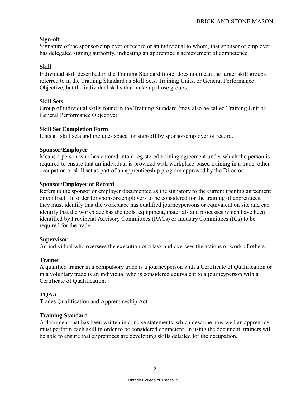#### **Sign-off**

Signature of the sponsor/employer of record or an individual to whom, that sponsor or employer has delegated signing authority, indicating an apprentice's achievement of competence.

# **Skill**

Individual skill described in the Training Standard (note: does not mean the larger skill groups referred to in the Training Standard as Skill Sets, Training Units, or General Performance Objective, but the individual skills that make up those groups).

#### **Skill Sets**

Group of individual skills found in the Training Standard (may also be called Training Unit or General Performance Objective)

#### **Skill Set Completion Form**

Lists all skill sets and includes space for sign-off by sponsor/employer of record.

#### **Sponsor/Employer**

Means a person who has entered into a registered training agreement under which the person is required to ensure that an individual is provided with workplace-based training in a trade, other occupation or skill set as part of an apprenticeship program approved by the Director.

#### **Sponsor/Employer of Record**

Refers to the sponsor or employer documented as the signatory to the current training agreement or contract. In order for sponsors/employers to be considered for the training of apprentices, they must identify that the workplace has qualified journeypersons or equivalent on site and can identify that the workplace has the tools, equipment, materials and processes which have been identified by Provincial Advisory Committees (PACs) or Industry Committees (ICs) to be required for the trade.

#### **Supervisor**

An individual who oversees the execution of a task and oversees the actions or work of others.

# **Trainer**

A qualified trainer in a compulsory trade is a journeyperson with a Certificate of Qualification or in a voluntary trade is an individual who is considered equivalent to a journeyperson with a Certificate of Qualification.

# **TQAA**

Trades Qualification and Apprenticeship Act.

#### **Training Standard**

A document that has been written in concise statements, which describe how well an apprentice must perform each skill in order to be considered competent. In using the document, trainers will be able to ensure that apprentices are developing skills detailed for the occupation.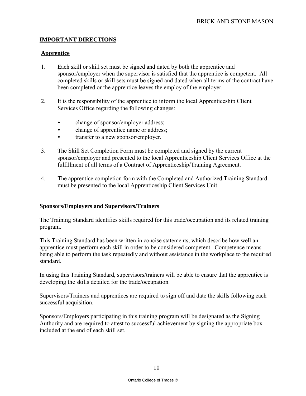### **IMPORTANT DIRECTIONS**

#### **Apprentice**

- 1. Each skill or skill set must be signed and dated by both the apprentice and sponsor/employer when the supervisor is satisfied that the apprentice is competent. All completed skills or skill sets must be signed and dated when all terms of the contract have been completed or the apprentice leaves the employ of the employer.
- 2. It is the responsibility of the apprentice to inform the local Apprenticeship Client Services Office regarding the following changes:
	- change of sponsor/employer address;
	- change of apprentice name or address;
	- transfer to a new sponsor/employer.
- 3. The Skill Set Completion Form must be completed and signed by the current sponsor/employer and presented to the local Apprenticeship Client Services Office at the fulfillment of all terms of a Contract of Apprenticeship/Training Agreement.
- 4. The apprentice completion form with the Completed and Authorized Training Standard must be presented to the local Apprenticeship Client Services Unit.

#### **Sponsors/Employers and Supervisors/Trainers**

The Training Standard identifies skills required for this trade/occupation and its related training program.

This Training Standard has been written in concise statements, which describe how well an apprentice must perform each skill in order to be considered competent. Competence means being able to perform the task repeatedly and without assistance in the workplace to the required standard.

In using this Training Standard, supervisors/trainers will be able to ensure that the apprentice is developing the skills detailed for the trade/occupation.

Supervisors/Trainers and apprentices are required to sign off and date the skills following each successful acquisition.

Sponsors/Employers participating in this training program will be designated as the Signing Authority and are required to attest to successful achievement by signing the appropriate box included at the end of each skill set.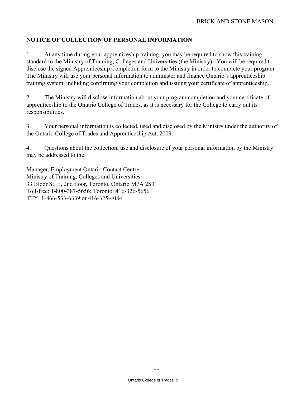# **NOTICE OF COLLECTION OF PERSONAL INFORMATION**

1. At any time during your apprenticeship training, you may be required to show this training standard to the Ministry of Training, Colleges and Universities (the Ministry). You will be required to disclose the signed Apprenticeship Completion form to the Ministry in order to complete your program. The Ministry will use your personal information to administer and finance Ontario's apprenticeship training system, including confirming your completion and issuing your certificate of apprenticeship.

2. The Ministry will disclose information about your program completion and your certificate of apprenticeship to the Ontario College of Trades, as it is necessary for the College to carry out its responsibilities.

3. Your personal information is collected, used and disclosed by the Ministry under the authority of the Ontario College of Trades and Apprenticeship Act, 2009.

4. Questions about the collection, use and disclosure of your personal information by the Ministry may be addressed to the:

Manager, Employment Ontario Contact Centre Ministry of Training, Colleges and Universities 33 Bloor St. E, 2nd floor, Toronto, Ontario M7A 2S3 Toll-free: 1-800-387-5656; Toronto: 416-326-5656 TTY: 1-866-533-6339 or 416-325-4084.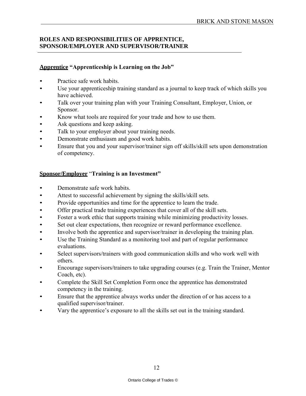# **ROLES AND RESPONSIBILITIES OF APPRENTICE, SPONSOR/EMPLOYER AND SUPERVISOR/TRAINER**

# **Apprentice "Apprenticeship is Learning on the Job"**

- Practice safe work habits.
- Use your apprenticeship training standard as a journal to keep track of which skills you have achieved.
- Talk over your training plan with your Training Consultant, Employer, Union, or Sponsor.
- Know what tools are required for your trade and how to use them.
- Ask questions and keep asking.
- Talk to your employer about your training needs.
- Demonstrate enthusiasm and good work habits.
- Ensure that you and your supervisor/trainer sign off skills/skill sets upon demonstration of competency.

#### **Sponsor/Employer** "**Training is an Investment"**

- Demonstrate safe work habits.
- Attest to successful achievement by signing the skills/skill sets.
- Provide opportunities and time for the apprentice to learn the trade.
- Offer practical trade training experiences that cover all of the skill sets.
- Foster a work ethic that supports training while minimizing productivity losses.
- Set out clear expectations, then recognize or reward performance excellence.
- Involve both the apprentice and supervisor/trainer in developing the training plan.
- Use the Training Standard as a monitoring tool and part of regular performance evaluations.
- Select supervisors/trainers with good communication skills and who work well with others.
- Encourage supervisors/trainers to take upgrading courses (e.g. Train the Trainer, Mentor Coach, etc).
- Complete the Skill Set Completion Form once the apprentice has demonstrated competency in the training.
- Ensure that the apprentice always works under the direction of or has access to a qualified supervisor/trainer.
- Vary the apprentice's exposure to all the skills set out in the training standard.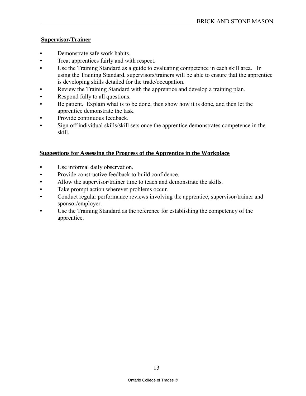# **Supervisor/Trainer**

- Demonstrate safe work habits.
- Treat apprentices fairly and with respect.
- Use the Training Standard as a guide to evaluating competence in each skill area. In using the Training Standard, supervisors/trainers will be able to ensure that the apprentice is developing skills detailed for the trade/occupation.
- Review the Training Standard with the apprentice and develop a training plan.
- Respond fully to all questions.
- Be patient. Explain what is to be done, then show how it is done, and then let the apprentice demonstrate the task.
- Provide continuous feedback
- Sign off individual skills/skill sets once the apprentice demonstrates competence in the skill.

# **Suggestions for Assessing the Progress of the Apprentice in the Workplace**

- Use informal daily observation.
- Provide constructive feedback to build confidence.
- Allow the supervisor/trainer time to teach and demonstrate the skills.
- Take prompt action wherever problems occur.
- Conduct regular performance reviews involving the apprentice, supervisor/trainer and sponsor/employer.
- Use the Training Standard as the reference for establishing the competency of the apprentice.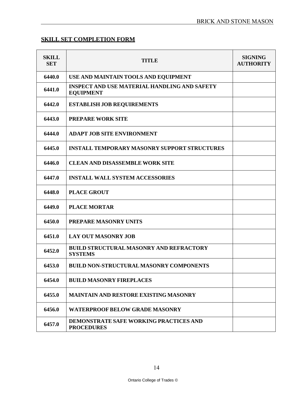# **SKILL SET COMPLETION FORM**

| <b>SKILL</b><br><b>SET</b> | <b>TITLE</b>                                                            | <b>SIGNING</b><br><b>AUTHORITY</b> |
|----------------------------|-------------------------------------------------------------------------|------------------------------------|
| 6440.0                     | USE AND MAINTAIN TOOLS AND EQUIPMENT                                    |                                    |
| 6441.0                     | <b>INSPECT AND USE MATERIAL HANDLING AND SAFETY</b><br><b>EQUIPMENT</b> |                                    |
| 6442.0                     | <b>ESTABLISH JOB REQUIREMENTS</b>                                       |                                    |
| 6443.0                     | <b>PREPARE WORK SITE</b>                                                |                                    |
| 6444.0                     | <b>ADAPT JOB SITE ENVIRONMENT</b>                                       |                                    |
| 6445.0                     | <b>INSTALL TEMPORARY MASONRY SUPPORT STRUCTURES</b>                     |                                    |
| 6446.0                     | <b>CLEAN AND DISASSEMBLE WORK SITE</b>                                  |                                    |
| 6447.0                     | <b>INSTALL WALL SYSTEM ACCESSORIES</b>                                  |                                    |
| 6448.0                     | <b>PLACE GROUT</b>                                                      |                                    |
| 6449.0                     | <b>PLACE MORTAR</b>                                                     |                                    |
| 6450.0                     | <b>PREPARE MASONRY UNITS</b>                                            |                                    |
| 6451.0                     | <b>LAY OUT MASONRY JOB</b>                                              |                                    |
| 6452.0                     | <b>BUILD STRUCTURAL MASONRY AND REFRACTORY</b><br><b>SYSTEMS</b>        |                                    |
| 6453.0                     | <b>BUILD NON-STRUCTURAL MASONRY COMPONENTS</b>                          |                                    |
| 6454.0                     | <b>BUILD MASONRY FIREPLACES</b>                                         |                                    |
| 6455.0                     | <b>MAINTAIN AND RESTORE EXISTING MASONRY</b>                            |                                    |
| 6456.0                     | <b>WATERPROOF BELOW GRADE MASONRY</b>                                   |                                    |
| 6457.0                     | DEMONSTRATE SAFE WORKING PRACTICES AND<br><b>PROCEDURES</b>             |                                    |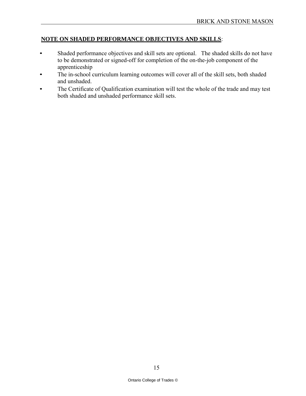#### **NOTE ON SHADED PERFORMANCE OBJECTIVES AND SKILLS**:

- Shaded performance objectives and skill sets are optional. The shaded skills do not have to be demonstrated or signed-off for completion of the on-the-job component of the apprenticeship
- The in-school curriculum learning outcomes will cover all of the skill sets, both shaded and unshaded.
- The Certificate of Qualification examination will test the whole of the trade and may test both shaded and unshaded performance skill sets.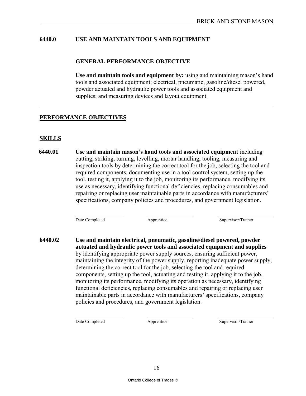#### **6440.0 USE AND MAINTAIN TOOLS AND EQUIPMENT**

#### **GENERAL PERFORMANCE OBJECTIVE**

**Use and maintain tools and equipment by:** using and maintaining mason's hand tools and associated equipment; electrical, pneumatic, gasoline/diesel powered, powder actuated and hydraulic power tools and associated equipment and supplies; and measuring devices and layout equipment.

#### **PERFORMANCE OBJECTIVES**

#### **SKILLS**

**6440.01 Use and maintain mason's hand tools and associated equipment** including cutting, striking, turning, levelling, mortar handling, tooling, measuring and inspection tools by determining the correct tool for the job, selecting the tool and required components, documenting use in a tool control system, setting up the tool, testing it, applying it to the job, monitoring its performance, modifying its use as necessary, identifying functional deficiencies, replacing consumables and repairing or replacing user maintainable parts in accordance with manufacturers' specifications, company policies and procedures, and government legislation.

Date Completed Apprentice Apprentice Supervisor/Trainer

**6440.02 Use and maintain electrical, pneumatic, gasoline/diesel powered, powder actuated and hydraulic power tools and associated equipment and supplies**  by identifying appropriate power supply sources, ensuring sufficient power, maintaining the integrity of the power supply, reporting inadequate power supply, determining the correct tool for the job, selecting the tool and required components, setting up the tool, actuating and testing it, applying it to the job, monitoring its performance, modifying its operation as necessary, identifying functional deficiencies, replacing consumables and repairing or replacing user maintainable parts in accordance with manufacturers' specifications, company policies and procedures, and government legislation.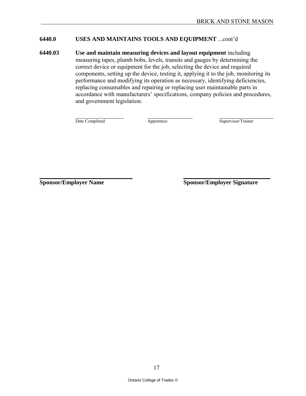#### **6440.0 USES AND MAINTAINS TOOLS AND EQUIPMENT** ...cont'd

**6440.03 Use and maintain measuring devices and layout equipment** including measuring tapes, plumb bobs, levels, transits and gauges by determining the correct device or equipment for the job, selecting the device and required components, setting up the device, testing it, applying it to the job, monitoring its performance and modifying its operation as necessary, identifying deficiencies, replacing consumables and repairing or replacing user maintainable parts in accordance with manufacturers' specifications, company policies and procedures, and government legislation.

Date Completed Apprentice Supervisor/Trainer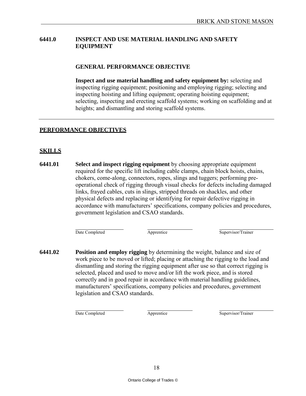# **6441.0 INSPECT AND USE MATERIAL HANDLING AND SAFETY EQUIPMENT**

#### **GENERAL PERFORMANCE OBJECTIVE**

**Inspect and use material handling and safety equipment by:** selecting and inspecting rigging equipment; positioning and employing rigging; selecting and inspecting hoisting and lifting equipment; operating hoisting equipment; selecting, inspecting and erecting scaffold systems; working on scaffolding and at heights; and dismantling and storing scaffold systems.

# **PERFORMANCE OBJECTIVES**

# **SKILLS**

**6441.01 Select and inspect rigging equipment** by choosing appropriate equipment required for the specific lift including cable clamps, chain block hoists, chains, chokers, come-along, connectors, ropes, slings and tuggers; performing preoperational check of rigging through visual checks for defects including damaged links, frayed cables, cuts in slings, stripped threads on shackles, and other physical defects and replacing or identifying for repair defective rigging in accordance with manufacturers' specifications, company policies and procedures, government legislation and CSAO standards.

Date Completed Apprentice Supervisor/Trainer

**6441.02 Position and employ rigging** by determining the weight, balance and size of work piece to be moved or lifted; placing or attaching the rigging to the load and dismantling and storing the rigging equipment after use so that correct rigging is selected, placed and used to move and/or lift the work piece, and is stored correctly and in good repair in accordance with material handling guidelines, manufacturers' specifications, company policies and procedures, government legislation and CSAO standards.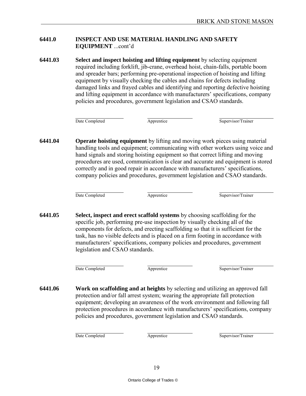# **6441.0 INSPECT AND USE MATERIAL HANDLING AND SAFETY EQUIPMENT** ...cont'd

**6441.03 Select and inspect hoisting and lifting equipment** by selecting equipment required including forklift, jib-crane, overhead hoist, chain-falls, portable boom and spreader bars; performing pre-operational inspection of hoisting and lifting equipment by visually checking the cables and chains for defects including damaged links and frayed cables and identifying and reporting defective hoisting and lifting equipment in accordance with manufacturers' specifications, company policies and procedures, government legislation and CSAO standards.

Date Completed Apprentice Supervisor/Trainer

**6441.04 Operate hoisting equipment** by lifting and moving work pieces using material handling tools and equipment; communicating with other workers using voice and hand signals and storing hoisting equipment so that correct lifting and moving procedures are used, communication is clear and accurate and equipment is stored correctly and in good repair in accordance with manufacturers' specifications, company policies and procedures, government legislation and CSAO standards.

Date Completed Apprentice Supervisor/Trainer

**6441.05 Select, inspect and erect scaffold systems** by choosing scaffolding for the specific job, performing pre-use inspection by visually checking all of the components for defects, and erecting scaffolding so that it is sufficient for the task, has no visible defects and is placed on a firm footing in accordance with manufacturers' specifications, company policies and procedures, government legislation and CSAO standards.

Date Completed **Apprentice** Apprentice Supervisor/Trainer

**6441.06 Work on scaffolding and at heights** by selecting and utilizing an approved fall protection and/or fall arrest system; wearing the appropriate fall protection equipment; developing an awareness of the work environment and following fall protection procedures in accordance with manufacturers' specifications, company policies and procedures, government legislation and CSAO standards.

Date Completed Apprentice Apprentice Supervisor/Trainer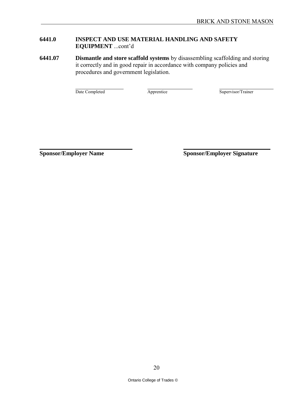# **6441.0 INSPECT AND USE MATERIAL HANDLING AND SAFETY EQUIPMENT** ...cont'd

**6441.07 Dismantle and store scaffold systems** by disassembling scaffolding and storing it correctly and in good repair in accordance with company policies and procedures and government legislation.

Date Completed Apprentice Supervisor/Trainer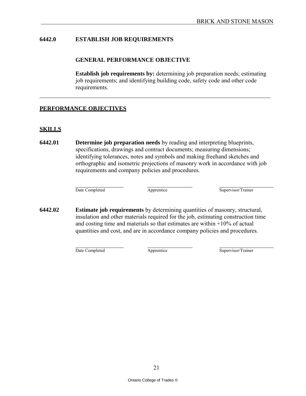#### **6442.0 ESTABLISH JOB REQUIREMENTS**

#### **GENERAL PERFORMANCE OBJECTIVE**

**Establish job requirements by:** determining job preparation needs; estimating job requirements; and identifying building code, safety code and other code requirements.

#### **PERFORMANCE OBJECTIVES**

#### **SKILLS**

**6442.01 Determine job preparation needs** by reading and interpreting blueprints, specifications, drawings and contract documents; measuring dimensions; identifying tolerances, notes and symbols and making freehand sketches and orthographic and isometric projections of masonry work in accordance with job requirements and company policies and procedures.

Date Completed Apprentice Supervisor/Trainer

**6442.02 Estimate job requirements** by determining quantities of masonry, structural, insulation and other materials required for the job, estimating construction time and costing time and materials so that estimates are within +10% of actual quantities and cost, and are in accordance company policies and procedures.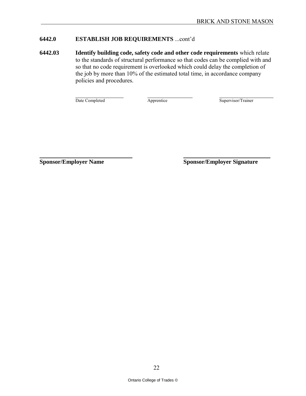# **6442.0 ESTABLISH JOB REQUIREMENTS** ...cont'd

**6442.03 Identify building code, safety code and other code requirements** which relate to the standards of structural performance so that codes can be complied with and so that no code requirement is overlooked which could delay the completion of the job by more than 10% of the estimated total time, in accordance company policies and procedures.

Date Completed Apprentice Supervisor/Trainer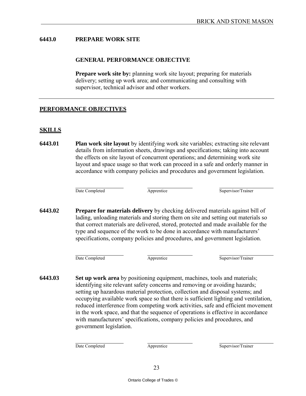# **6443.0 PREPARE WORK SITE**

#### **GENERAL PERFORMANCE OBJECTIVE**

**Prepare work site by:** planning work site layout; preparing for materials delivery; setting up work area; and communicating and consulting with supervisor, technical advisor and other workers.

# **PERFORMANCE OBJECTIVES**

# **SKILLS**

**6443.01 Plan work site layout** by identifying work site variables; extracting site relevant details from information sheets, drawings and specifications; taking into account the effects on site layout of concurrent operations; and determining work site layout and space usage so that work can proceed in a safe and orderly manner in accordance with company policies and procedures and government legislation.

Date Completed **Apprentice** Apprentice Supervisor/Trainer

**6443.02 Prepare for materials delivery** by checking delivered materials against bill of lading, unloading materials and storing them on site and setting out materials so that correct materials are delivered, stored, protected and made available for the type and sequence of the work to be done in accordance with manufacturers' specifications, company policies and procedures, and government legislation.

Date Completed Apprentice Supervisor/Trainer

**6443.03 Set up work area** by positioning equipment, machines, tools and materials; identifying site relevant safety concerns and removing or avoiding hazards; setting up hazardous material protection, collection and disposal systems; and occupying available work space so that there is sufficient lighting and ventilation, reduced interference from competing work activities, safe and efficient movement in the work space, and that the sequence of operations is effective in accordance with manufacturers' specifications, company policies and procedures, and government legislation.

Date Completed Apprentice Apprentice Supervisor/Trainer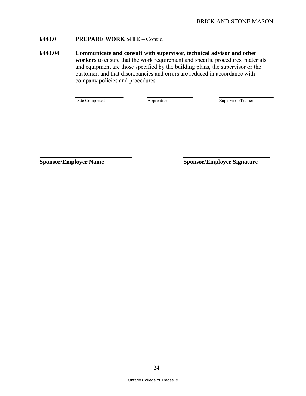# **6443.0 PREPARE WORK SITE** – Cont'd

**6443.04 Communicate and consult with supervisor, technical advisor and other workers** to ensure that the work requirement and specific procedures, materials and equipment are those specified by the building plans, the supervisor or the customer, and that discrepancies and errors are reduced in accordance with company policies and procedures.

Date Completed Apprentice Supervisor/Trainer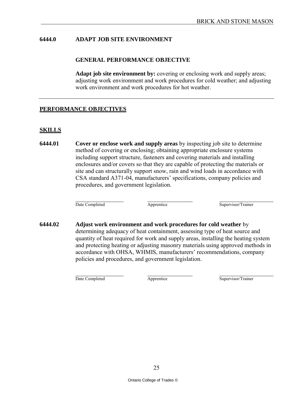#### **6444.0 ADAPT JOB SITE ENVIRONMENT**

#### **GENERAL PERFORMANCE OBJECTIVE**

**Adapt job site environment by:** covering or enclosing work and supply areas; adjusting work environment and work procedures for cold weather; and adjusting work environment and work procedures for hot weather.

#### **PERFORMANCE OBJECTIVES**

#### **SKILLS**

**6444.01 Cover or enclose work and supply areas** by inspecting job site to determine method of covering or enclosing; obtaining appropriate enclosure systems including support structure, fasteners and covering materials and installing enclosures and/or covers so that they are capable of protecting the materials or site and can structurally support snow, rain and wind loads in accordance with CSA standard A371-04, manufacturers' specifications, company policies and procedures, and government legislation.

Date Completed Apprentice Supervisor/Trainer

**6444.02 Adjust work environment and work procedures for cold weather** by determining adequacy of heat containment, assessing type of heat source and quantity of heat required for work and supply areas, installing the heating system and protecting heating or adjusting masonry materials using approved methods in accordance with OHSA, WHMIS, manufacturers' recommendations, company policies and procedures, and government legislation.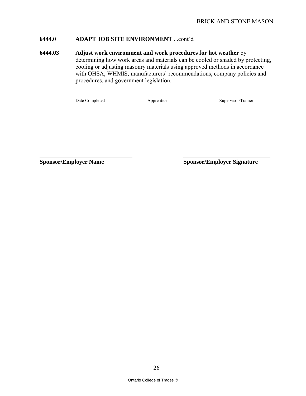# **6444.0 ADAPT JOB SITE ENVIRONMENT** ...cont'd

**6444.03 Adjust work environment and work procedures for hot weather** by determining how work areas and materials can be cooled or shaded by protecting, cooling or adjusting masonry materials using approved methods in accordance with OHSA, WHMIS, manufacturers' recommendations, company policies and procedures, and government legislation.

Date Completed Apprentice Supervisor/Trainer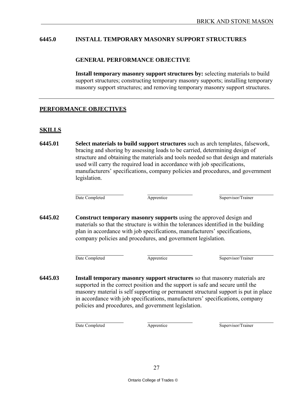#### **6445.0 INSTALL TEMPORARY MASONRY SUPPORT STRUCTURES**

#### **GENERAL PERFORMANCE OBJECTIVE**

**Install temporary masonry support structures by:** selecting materials to build support structures; constructing temporary masonry supports; installing temporary masonry support structures; and removing temporary masonry support structures.

#### **PERFORMANCE OBJECTIVES**

#### **SKILLS**

**6445.01 Select materials to build support structures** such as arch templates, falsework, bracing and shoring by assessing loads to be carried, determining design of structure and obtaining the materials and tools needed so that design and materials used will carry the required load in accordance with job specifications, manufacturers' specifications, company policies and procedures, and government legislation.

Date Completed Apprentice Apprentice Supervisor/Trainer

**6445.02 Construct temporary masonry supports** using the approved design and materials so that the structure is within the tolerances identified in the building plan in accordance with job specifications, manufacturers' specifications, company policies and procedures, and government legislation.

Date Completed Apprentice Supervisor/Trainer

**6445.03 Install temporary masonry support structures** so that masonry materials are supported in the correct position and the support is safe and secure until the masonry material is self supporting or permanent structural support is put in place in accordance with job specifications, manufacturers' specifications, company policies and procedures, and government legislation.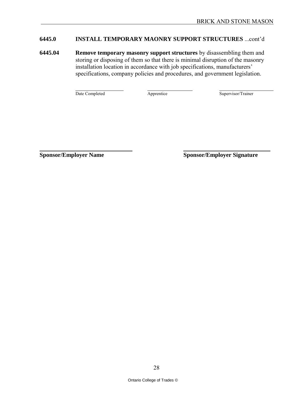# **6445.0 INSTALL TEMPORARY MAONRY SUPPORT STRUCTURES** ...cont'd

**6445.04 Remove temporary masonry support structures** by disassembling them and storing or disposing of them so that there is minimal disruption of the masonry installation location in accordance with job specifications, manufacturers' specifications, company policies and procedures, and government legislation.

Date Completed Apprentice Apprentice Supervisor/Trainer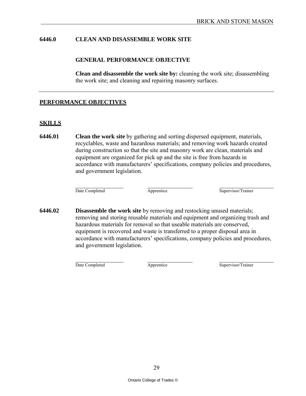#### **6446.0 CLEAN AND DISASSEMBLE WORK SITE**

#### **GENERAL PERFORMANCE OBJECTIVE**

**Clean and disassemble the work site by:** cleaning the work site; disassembling the work site; and cleaning and repairing masonry surfaces.

#### **PERFORMANCE OBJECTIVES**

#### **SKILLS**

**6446.01 Clean the work site** by gathering and sorting dispersed equipment, materials, recyclables, waste and hazardous materials; and removing work hazards created during construction so that the site and masonry work are clean, materials and equipment are organized for pick up and the site is free from hazards in accordance with manufacturers' specifications, company policies and procedures, and government legislation.

Date Completed **Apprentice** Apprentice Supervisor/Trainer

**6446.02 Disassemble the work site** by removing and restocking unused materials; removing and storing reusable materials and equipment and organizing trash and hazardous materials for removal so that useable materials are conserved, equipment is recovered and waste is transferred to a proper disposal area in accordance with manufacturers' specifications, company policies and procedures, and government legislation.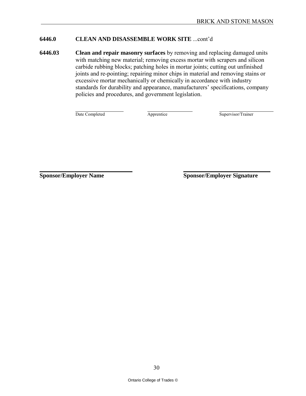#### **6446.0 CLEAN AND DISASSEMBLE WORK SITE** ...cont'd

**6446.03 Clean and repair masonry surfaces** by removing and replacing damaged units with matching new material; removing excess mortar with scrapers and silicon carbide rubbing blocks; patching holes in mortar joints; cutting out unfinished joints and re-pointing; repairing minor chips in material and removing stains or excessive mortar mechanically or chemically in accordance with industry standards for durability and appearance, manufacturers' specifications, company policies and procedures, and government legislation.

Date Completed Apprentice Supervisor/Trainer

**Sponsor/Employer Name Sponsor/Sponsor/Sponsor/Employer Signature**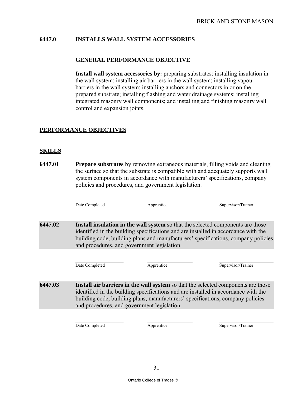# **6447.0 INSTALLS WALL SYSTEM ACCESSORIES**

#### **GENERAL PERFORMANCE OBJECTIVE**

**Install wall system accessories by:** preparing substrates; installing insulation in the wall system; installing air barriers in the wall system; installing vapour barriers in the wall system; installing anchors and connectors in or on the prepared substrate; installing flashing and water drainage systems; installing integrated masonry wall components; and installing and finishing masonry wall control and expansion joints.

# **PERFORMANCE OBJECTIVES**

# **SKILLS**

**6447.01 Prepare substrates** by removing extraneous materials, filling voids and cleaning the surface so that the substrate is compatible with and adequately supports wall system components in accordance with manufacturers' specifications, company policies and procedures, and government legislation.

Date Completed **Apprentice** Apprentice Supervisor/Trainer

**6447.02 Install insulation in the wall system** so that the selected components are those identified in the building specifications and are installed in accordance with the building code, building plans and manufacturers' specifications, company policies and procedures, and government legislation.

Date Completed **Apprentice** Apprentice Supervisor/Trainer

**6447.03 Install air barriers in the wall system** so that the selected components are those identified in the building specifications and are installed in accordance with the building code, building plans, manufacturers' specifications, company policies and procedures, and government legislation.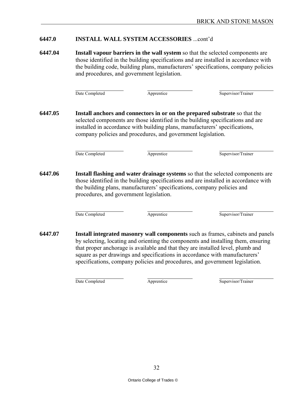#### **6447.0 INSTALL WALL SYSTEM ACCESSORIES** ...cont'd

**6447.04 Install vapour barriers in the wall system** so that the selected components are those identified in the building specifications and are installed in accordance with the building code, building plans, manufacturers' specifications, company policies and procedures, and government legislation.

Date Completed Apprentice Supervisor/Trainer

**6447.05 Install anchors and connectors in or on the prepared substrate** so that the selected components are those identified in the building specifications and are installed in accordance with building plans, manufacturers' specifications, company policies and procedures, and government legislation.

Date Completed Apprentice Apprentice Supervisor/Trainer

**6447.06 Install flashing and water drainage systems** so that the selected components are those identified in the building specifications and are installed in accordance with the building plans, manufacturers' specifications, company policies and procedures, and government legislation.

Date Completed Apprentice Apprentice Supervisor/Trainer

**6447.07 Install integrated masonry wall components** such as frames, cabinets and panels by selecting, locating and orienting the components and installing them, ensuring that proper anchorage is available and that they are installed level, plumb and square as per drawings and specifications in accordance with manufacturers' specifications, company policies and procedures, and government legislation.

Date Completed **Apprentice** Apprentice Supervisor/Trainer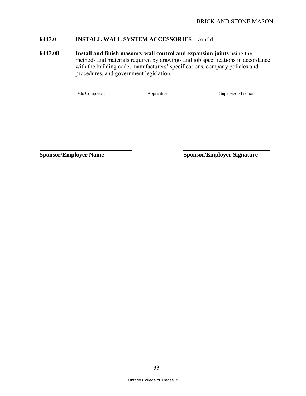# **6447.0 INSTALL WALL SYSTEM ACCESSORIES** ...cont'd

**6447.08 Install and finish masonry wall control and expansion joints** using the methods and materials required by drawings and job specifications in accordance with the building code, manufacturers' specifications, company policies and procedures, and government legislation.

Date Completed Apprentice Supervisor/Trainer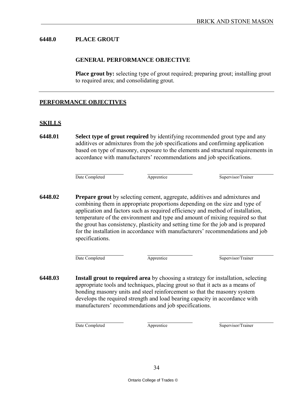#### **6448.0 PLACE GROUT**

#### **GENERAL PERFORMANCE OBJECTIVE**

**Place grout by:** selecting type of grout required; preparing grout; installing grout to required area; and consolidating grout.

#### **PERFORMANCE OBJECTIVES**

#### **SKILLS**

**6448.01 Select type of grout required** by identifying recommended grout type and any additives or admixtures from the job specifications and confirming application based on type of masonry, exposure to the elements and structural requirements in accordance with manufacturers' recommendations and job specifications.

Date Completed Apprentice Supervisor/Trainer

**6448.02 Prepare grout** by selecting cement, aggregate, additives and admixtures and combining them in appropriate proportions depending on the size and type of application and factors such as required efficiency and method of installation, temperature of the environment and type and amount of mixing required so that the grout has consistency, plasticity and setting time for the job and is prepared for the installation in accordance with manufacturers' recommendations and job specifications.

Date Completed Apprentice Supervisor/Trainer

**6448.03 Install grout to required area** by choosing a strategy for installation, selecting appropriate tools and techniques, placing grout so that it acts as a means of bonding masonry units and steel reinforcement so that the masonry system develops the required strength and load bearing capacity in accordance with manufacturers' recommendations and job specifications.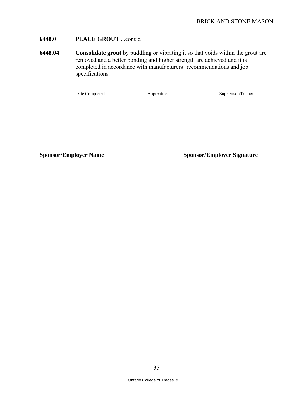# **6448.0 PLACE GROUT** ...cont'd

**6448.04 Consolidate grout** by puddling or vibrating it so that voids within the grout are removed and a better bonding and higher strength are achieved and it is completed in accordance with manufacturers' recommendations and job specifications.

Date Completed Apprentice Supervisor/Trainer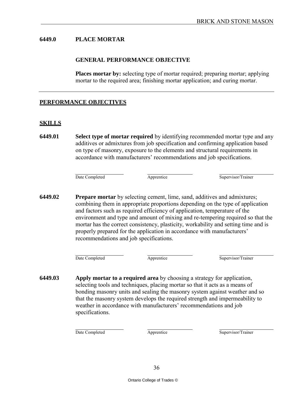#### **6449.0 PLACE MORTAR**

#### **GENERAL PERFORMANCE OBJECTIVE**

**Places mortar by:** selecting type of mortar required; preparing mortar; applying mortar to the required area; finishing mortar application; and curing mortar.

#### **PERFORMANCE OBJECTIVES**

#### **SKILLS**

**6449.01 Select type of mortar required** by identifying recommended mortar type and any additives or admixtures from job specification and confirming application based on type of masonry, exposure to the elements and structural requirements in accordance with manufacturers' recommendations and job specifications.

Date Completed Apprentice Supervisor/Trainer

**6449.02 Prepare mortar** by selecting cement, lime, sand, additives and admixtures; combining them in appropriate proportions depending on the type of application and factors such as required efficiency of application, temperature of the environment and type and amount of mixing and re-tempering required so that the mortar has the correct consistency, plasticity, workability and setting time and is properly prepared for the application in accordance with manufacturers' recommendations and job specifications.

Date Completed Apprentice Supervisor/Trainer

**6449.03 Apply mortar to a required area** by choosing a strategy for application, selecting tools and techniques, placing mortar so that it acts as a means of bonding masonry units and sealing the masonry system against weather and so that the masonry system develops the required strength and impermeability to weather in accordance with manufacturers' recommendations and job specifications.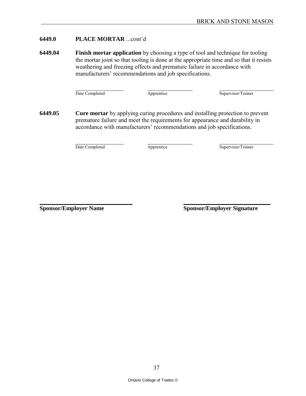### **6449.0 PLACE MORTAR** ...cont'd

**6449.04 Finish mortar application** by choosing a type of tool and technique for tooling the mortar joint so that tooling is done at the appropriate time and so that it resists weathering and freezing effects and premature failure in accordance with manufacturers' recommendations and job specifications.

Date Completed Apprentice Supervisor/Trainer

**6449.05 Cure mortar** by applying curing procedures and installing protection to prevent premature failure and meet the requirements for appearance and durability in accordance with manufacturers' recommendations and job specifications.

Date Completed Apprentice Supervisor/Trainer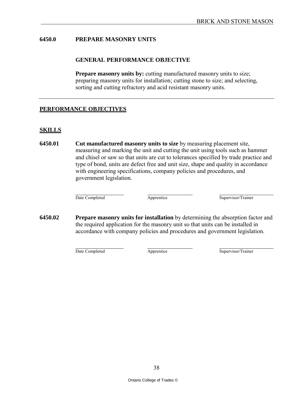### **6450.0 PREPARE MASONRY UNITS**

#### **GENERAL PERFORMANCE OBJECTIVE**

**Prepare masonry units by:** cutting manufactured masonry units to size; preparing masonry units for installation; cutting stone to size; and selecting, sorting and cutting refractory and acid resistant masonry units.

# **PERFORMANCE OBJECTIVES**

#### **SKILLS**

**6450.01 Cut manufactured masonry units to size** by measuring placement site, measuring and marking the unit and cutting the unit using tools such as hammer and chisel or saw so that units are cut to tolerances specified by trade practice and type of bond, units are defect free and unit size, shape and quality in accordance with engineering specifications, company policies and procedures, and government legislation.

Date Completed Apprentice Apprentice Supervisor/Trainer

**6450.02 Prepare masonry units for installation** by determining the absorption factor and the required application for the masonry unit so that units can be installed in accordance with company policies and procedures and government legislation.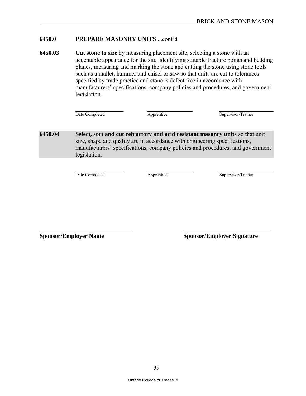#### **6450.0 PREPARE MASONRY UNITS** ...cont'd

**6450.03 Cut stone to size** by measuring placement site, selecting a stone with an acceptable appearance for the site, identifying suitable fracture points and bedding planes, measuring and marking the stone and cutting the stone using stone tools such as a mallet, hammer and chisel or saw so that units are cut to tolerances specified by trade practice and stone is defect free in accordance with manufacturers' specifications, company policies and procedures, and government legislation.

Date Completed Apprentice Supervisor/Trainer

**6450.04 Select, sort and cut refractory and acid resistant masonry units** so that unit size, shape and quality are in accordance with engineering specifications, manufacturers' specifications, company policies and procedures, and government legislation.

Date Completed Apprentice Supervisor/Trainer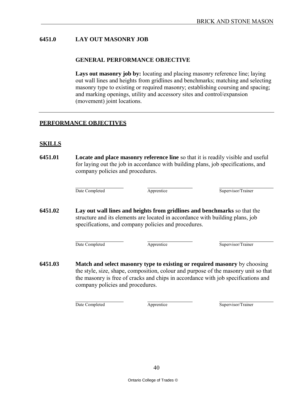# **6451.0 LAY OUT MASONRY JOB**

#### **GENERAL PERFORMANCE OBJECTIVE**

Lays out masonry job by: locating and placing masonry reference line; laying out wall lines and heights from gridlines and benchmarks; matching and selecting masonry type to existing or required masonry; establishing coursing and spacing; and marking openings, utility and accessory sites and control/expansion (movement) joint locations.

#### **PERFORMANCE OBJECTIVES**

#### **SKILLS**

**6451.01 Locate and place masonry reference line** so that it is readily visible and useful for laying out the job in accordance with building plans, job specifications, and company policies and procedures.

Date Completed **Apprentice** Apprentice Supervisor/Trainer

**6451.02 Lay out wall lines and heights from gridlines and benchmarks** so that the structure and its elements are located in accordance with building plans, job specifications, and company policies and procedures.

Date Completed **Apprentice** Apprentice Supervisor/Trainer

**6451.03 Match and select masonry type to existing or required masonry** by choosing the style, size, shape, composition, colour and purpose of the masonry unit so that the masonry is free of cracks and chips in accordance with job specifications and company policies and procedures.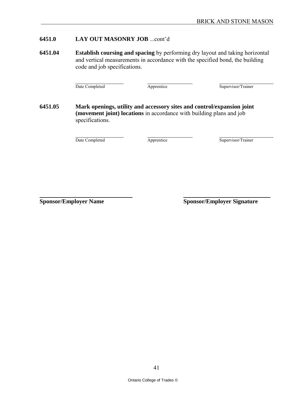#### **6451.0 LAY OUT MASONRY JOB** ...cont'd

**6451.04 Establish coursing and spacing** by performing dry layout and taking horizontal and vertical measurements in accordance with the specified bond, the building code and job specifications.

Date Completed Apprentice Supervisor/Trainer

**6451.05 Mark openings, utility and accessory sites and control/expansion joint (movement joint) locations** in accordance with building plans and job specifications.

Date Completed Apprentice Supervisor/Trainer

**Sponsor/Employer Name Sponsor/Sponsor/Sponsor/Employer Signature**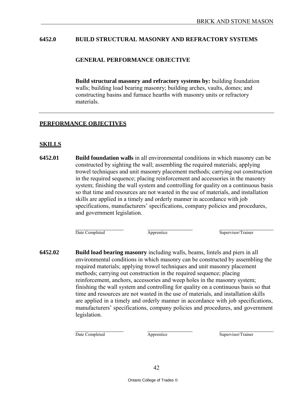#### **6452.0 BUILD STRUCTURAL MASONRY AND REFRACTORY SYSTEMS**

#### **GENERAL PERFORMANCE OBJECTIVE**

**Build structural masonry and refractory systems by:** building foundation walls; building load bearing masonry; building arches, vaults, domes; and constructing basins and furnace hearths with masonry units or refractory materials.

#### **PERFORMANCE OBJECTIVES**

#### **SKILLS**

**6452.01 Build foundation walls** in all environmental conditions in which masonry can be constructed by sighting the wall; assembling the required materials; applying trowel techniques and unit masonry placement methods; carrying out construction in the required sequence; placing reinforcement and accessories in the masonry system; finishing the wall system and controlling for quality on a continuous basis so that time and resources are not wasted in the use of materials, and installation skills are applied in a timely and orderly manner in accordance with job specifications, manufacturers' specifications, company policies and procedures, and government legislation.

Date Completed **Apprentice** Apprentice Supervisor/Trainer

**6452.02 Build load bearing masonry** including walls, beams, lintels and piers in all environmental conditions in which masonry can be constructed by assembling the required materials; applying trowel techniques and unit masonry placement methods; carrying out construction in the required sequence; placing reinforcement, anchors, accessories and weep holes in the masonry system; finishing the wall system and controlling for quality on a continuous basis so that time and resources are not wasted in the use of materials, and installation skills are applied in a timely and orderly manner in accordance with job specifications, manufacturers' specifications, company policies and procedures, and government legislation.

Date Completed **Apprentice** Apprentice Supervisor/Trainer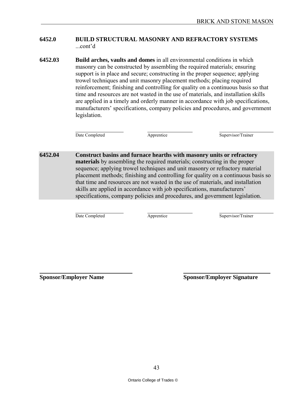#### **6452.0 BUILD STRUCTURAL MASONRY AND REFRACTORY SYSTEMS** ...cont'd

**6452.03 Build arches, vaults and domes** in all environmental conditions in which masonry can be constructed by assembling the required materials; ensuring support is in place and secure; constructing in the proper sequence; applying trowel techniques and unit masonry placement methods; placing required reinforcement; finishing and controlling for quality on a continuous basis so that time and resources are not wasted in the use of materials, and installation skills are applied in a timely and orderly manner in accordance with job specifications, manufacturers' specifications, company policies and procedures, and government legislation.

Date Completed Apprentice Apprentice Supervisor/Trainer

**6452.04 Construct basins and furnace hearths with masonry units or refractory materials** by assembling the required materials; constructing in the proper sequence; applying trowel techniques and unit masonry or refractory material placement methods; finishing and controlling for quality on a continuous basis so that time and resources are not wasted in the use of materials, and installation skills are applied in accordance with job specifications, manufacturers' specifications, company policies and procedures, and government legislation.

Date Completed Apprentice Supervisor/Trainer

**Sponsor/Employer Name Sponsor/Sponsor/Sponsor/Employer Signature**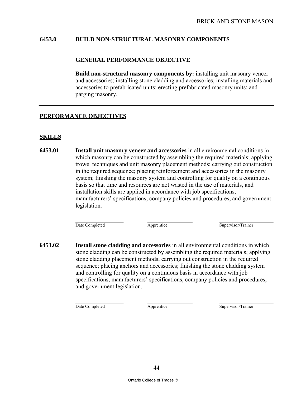#### **6453.0 BUILD NON-STRUCTURAL MASONRY COMPONENTS**

#### **GENERAL PERFORMANCE OBJECTIVE**

**Build non-structural masonry components by:** installing unit masonry veneer and accessories; installing stone cladding and accessories; installing materials and accessories to prefabricated units; erecting prefabricated masonry units; and parging masonry.

#### **PERFORMANCE OBJECTIVES**

#### **SKILLS**

**6453.01 Install unit masonry veneer and accessories** in all environmental conditions in which masonry can be constructed by assembling the required materials; applying trowel techniques and unit masonry placement methods; carrying out construction in the required sequence; placing reinforcement and accessories in the masonry system; finishing the masonry system and controlling for quality on a continuous basis so that time and resources are not wasted in the use of materials, and installation skills are applied in accordance with job specifications, manufacturers' specifications, company policies and procedures, and government legislation.

Date Completed Apprentice Supervisor/Trainer

**6453.02 Install stone cladding and accessories** in all environmental conditions in which stone cladding can be constructed by assembling the required materials; applying stone cladding placement methods; carrying out construction in the required sequence; placing anchors and accessories; finishing the stone cladding system and controlling for quality on a continuous basis in accordance with job specifications, manufacturers' specifications, company policies and procedures, and government legislation.

Date Completed **Apprentice** Apprentice Supervisor/Trainer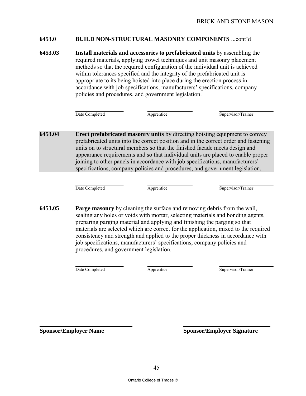# **6453.0 BUILD NON-STRUCTURAL MASONRY COMPONENTS** ...cont'd

**6453.03 Install materials and accessories to prefabricated units** by assembling the required materials, applying trowel techniques and unit masonry placement methods so that the required configuration of the individual unit is achieved within tolerances specified and the integrity of the prefabricated unit is appropriate to its being hoisted into place during the erection process in accordance with job specifications, manufacturers' specifications, company policies and procedures, and government legislation.

Date Completed **Apprentice** Apprentice Supervisor/Trainer

**6453.04 Erect prefabricated masonry units** by directing hoisting equipment to convey prefabricated units into the correct position and in the correct order and fastening units on to structural members so that the finished facade meets design and appearance requirements and so that individual units are placed to enable proper joining to other panels in accordance with job specifications, manufacturers' specifications, company policies and procedures, and government legislation.

Date Completed Apprentice Supervisor/Trainer

**6453.05 Parge masonry** by cleaning the surface and removing debris from the wall, sealing any holes or voids with mortar, selecting materials and bonding agents, preparing parging material and applying and finishing the parging so that materials are selected which are correct for the application, mixed to the required consistency and strength and applied to the proper thickness in accordance with job specifications, manufacturers' specifications, company policies and procedures, and government legislation.

Date Completed Apprentice Supervisor/Trainer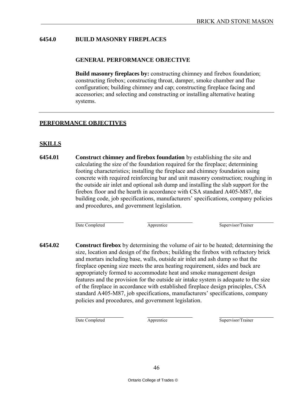# **6454.0 BUILD MASONRY FIREPLACES**

#### **GENERAL PERFORMANCE OBJECTIVE**

**Build masonry fireplaces by:** constructing chimney and firebox foundation; constructing firebox; constructing throat, damper, smoke chamber and flue configuration; building chimney and cap; constructing fireplace facing and accessories; and selecting and constructing or installing alternative heating systems.

#### **PERFORMANCE OBJECTIVES**

#### **SKILLS**

**6454.01 Construct chimney and firebox foundation** by establishing the site and calculating the size of the foundation required for the fireplace; determining footing characteristics; installing the fireplace and chimney foundation using concrete with required reinforcing bar and unit masonry construction; roughing in the outside air inlet and optional ash dump and installing the slab support for the firebox floor and the hearth in accordance with CSA standard A405-M87, the building code, job specifications, manufacturers' specifications, company policies and procedures, and government legislation.

Date Completed Apprentice Supervisor/Trainer

**6454.02 Construct firebox** by determining the volume of air to be heated; determining the size, location and design of the firebox; building the firebox with refractory brick and mortars including base, walls, outside air inlet and ash dump so that the fireplace opening size meets the area heating requirement, sides and back are appropriately formed to accommodate heat and smoke management design features and the provision for the outside air intake system is adequate to the size of the fireplace in accordance with established fireplace design principles, CSA standard A405-M87, job specifications, manufacturers' specifications, company policies and procedures, and government legislation.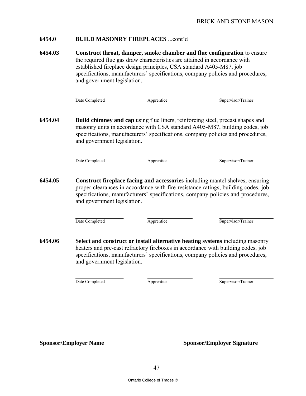#### **6454.0 BUILD MASONRY FIREPLACES** ...cont'd

**6454.03 Construct throat, damper, smoke chamber and flue configuration** to ensure the required flue gas draw characteristics are attained in accordance with established fireplace design principles, CSA standard A405-M87, job specifications, manufacturers' specifications, company policies and procedures, and government legislation.

Date Completed Apprentice Supervisor/Trainer

**6454.04 Build chimney and cap** using flue liners, reinforcing steel, precast shapes and masonry units in accordance with CSA standard A405-M87, building codes, job specifications, manufacturers' specifications, company policies and procedures, and government legislation.

Date Completed Apprentice Supervisor/Trainer

**6454.05 Construct fireplace facing and accessories** including mantel shelves, ensuring proper clearances in accordance with fire resistance ratings, building codes, job specifications, manufacturers' specifications, company policies and procedures, and government legislation.

Date Completed Apprentice Supervisor/Trainer

**6454.06 Select and construct or install alternative heating systems** including masonry heaters and pre-cast refractory fireboxes in accordance with building codes, job specifications, manufacturers' specifications, company policies and procedures, and government legislation.

Date Completed Apprentice Supervisor/Trainer

**Sponsor/Employer Name Sponsor/Sponsor/Sponsor/Employer Signature**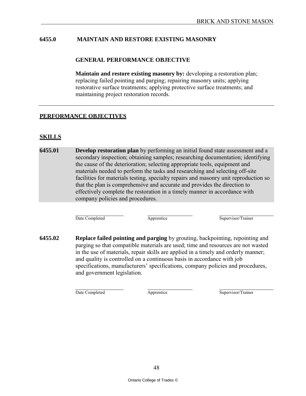#### **6455.0 MAINTAIN AND RESTORE EXISTING MASONRY**

#### **GENERAL PERFORMANCE OBJECTIVE**

**Maintain and restore existing masonry by:** developing a restoration plan; replacing failed pointing and parging; repairing masonry units; applying restorative surface treatments; applying protective surface treatments; and maintaining project restoration records.

#### **PERFORMANCE OBJECTIVES**

#### **SKILLS**

**6455.01 Develop restoration plan** by performing an initial found state assessment and a secondary inspection; obtaining samples; researching documentation; identifying the cause of the deterioration; selecting appropriate tools, equipment and materials needed to perform the tasks and researching and selecting off-site facilities for materials testing, specialty repairs and masonry unit reproduction so that the plan is comprehensive and accurate and provides the direction to effectively complete the restoration in a timely manner in accordance with company policies and procedures.

Date Completed Apprentice Supervisor/Trainer

**6455.02 Replace failed pointing and parging** by grouting, backpointing, repointing and parging so that compatible materials are used; time and resources are not wasted in the use of materials, repair skills are applied in a timely and orderly manner; and quality is controlled on a continuous basis in accordance with job specifications, manufacturers' specifications, company policies and procedures, and government legislation.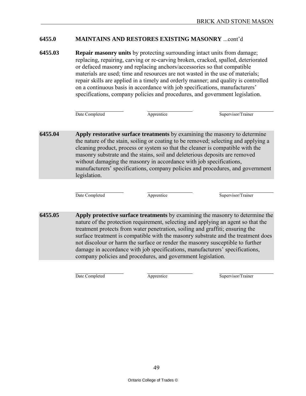#### **6455.0 MAINTAINS AND RESTORES EXISTING MASONRY** ...cont'd

**6455.03 Repair masonry units** by protecting surrounding intact units from damage; replacing, repairing, carving or re-carving broken, cracked, spalled, deteriorated or defaced masonry and replacing anchors/accessories so that compatible materials are used; time and resources are not wasted in the use of materials; repair skills are applied in a timely and orderly manner; and quality is controlled on a continuous basis in accordance with job specifications, manufacturers' specifications, company policies and procedures, and government legislation.

Date Completed Apprentice Supervisor/Trainer

**6455.04 Apply restorative surface treatments** by examining the masonry to determine the nature of the stain, soiling or coating to be removed; selecting and applying a cleaning product, process or system so that the cleaner is compatible with the masonry substrate and the stains, soil and deleterious deposits are removed without damaging the masonry in accordance with job specifications, manufacturers' specifications, company policies and procedures, and government legislation.

Date Completed Apprentice Supervisor/Trainer

**6455.05 Apply protective surface treatments** by examining the masonry to determine the nature of the protection requirement, selecting and applying an agent so that the treatment protects from water penetration, soiling and graffiti; ensuring the surface treatment is compatible with the masonry substrate and the treatment does not discolour or harm the surface or render the masonry susceptible to further damage in accordance with job specifications, manufacturers' specifications, company policies and procedures, and government legislation.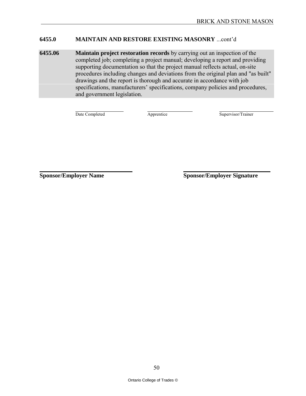#### **6455.0 MAINTAIN AND RESTORE EXISTING MASONRY** ...cont'd

**6455.06 Maintain project restoration records** by carrying out an inspection of the completed job; completing a project manual; developing a report and providing supporting documentation so that the project manual reflects actual, on-site procedures including changes and deviations from the original plan and "as built" drawings and the report is thorough and accurate in accordance with job specifications, manufacturers' specifications, company policies and procedures, and government legislation.

Date Completed Apprentice Supervisor/Trainer

**Sponsor/Employer Name Sponsor/Sponsor/Sponsor/Employer Signature**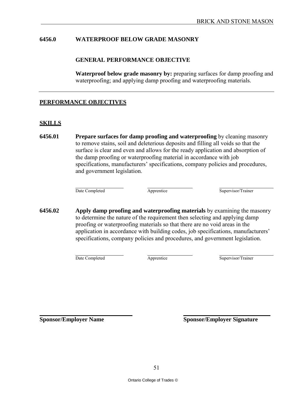#### **6456.0 WATERPROOF BELOW GRADE MASONRY**

#### **GENERAL PERFORMANCE OBJECTIVE**

**Waterproof below grade masonry by:** preparing surfaces for damp proofing and waterproofing; and applying damp proofing and waterproofing materials.

#### **PERFORMANCE OBJECTIVES**

#### **SKILLS**

**6456.01 Prepare surfaces for damp proofing and waterproofing** by cleaning masonry to remove stains, soil and deleterious deposits and filling all voids so that the surface is clear and even and allows for the ready application and absorption of the damp proofing or waterproofing material in accordance with job specifications, manufacturers' specifications, company policies and procedures, and government legislation.

Date Completed Apprentice Supervisor/Trainer

**6456.02 Apply damp proofing and waterproofing materials** by examining the masonry to determine the nature of the requirement then selecting and applying damp proofing or waterproofing materials so that there are no void areas in the application in accordance with building codes, job specifications, manufacturers' specifications, company policies and procedures, and government legislation.

Date Completed Apprentice Supervisor/Trainer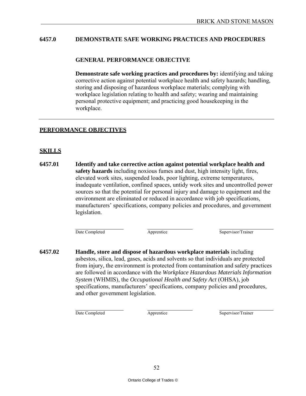#### **6457.0 DEMONSTRATE SAFE WORKING PRACTICES AND PROCEDURES**

#### **GENERAL PERFORMANCE OBJECTIVE**

**Demonstrate safe working practices and procedures by:** identifying and taking corrective action against potential workplace health and safety hazards; handling, storing and disposing of hazardous workplace materials; complying with workplace legislation relating to health and safety; wearing and maintaining personal protective equipment; and practicing good housekeeping in the workplace.

#### **PERFORMANCE OBJECTIVES**

# **SKILLS**

**6457.01 Identify and take corrective action against potential workplace health and safety hazards** including noxious fumes and dust, high intensity light, fires, elevated work sites, suspended loads, poor lighting, extreme temperatures, inadequate ventilation, confined spaces, untidy work sites and uncontrolled power sources so that the potential for personal injury and damage to equipment and the environment are eliminated or reduced in accordance with job specifications, manufacturers' specifications, company policies and procedures, and government legislation.

Date Completed Apprentice Supervisor/Trainer

**6457.02 Handle, store and dispose of hazardous workplace materials** including asbestos, silica, lead, gases, acids and solvents so that individuals are protected from injury, the environment is protected from contamination and safety practices are followed in accordance with the *Workplace Hazardous Materials Information System* (WHMIS), the *Occupational Health and Safety Act* (OHSA), job specifications, manufacturers' specifications, company policies and procedures, and other government legislation.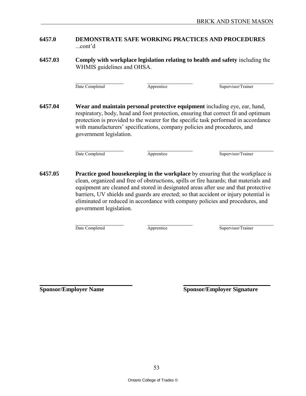#### **6457.0 DEMONSTRATE SAFE WORKING PRACTICES AND PROCEDURES** ...cont'd

**6457.03 Comply with workplace legislation relating to health and safety** including the WHMIS guidelines and OHSA.

Date Completed Apprentice Supervisor/Trainer

**6457.04 Wear and maintain personal protective equipment** including eye, ear, hand, respiratory, body, head and foot protection, ensuring that correct fit and optimum protection is provided to the wearer for the specific task performed in accordance with manufacturers' specifications, company policies and procedures, and government legislation.

Date Completed Apprentice Apprentice Supervisor/Trainer

**6457.05 Practice good housekeeping in the workplace** by ensuring that the workplace is clean, organized and free of obstructions, spills or fire hazards; that materials and equipment are cleaned and stored in designated areas after use and that protective barriers, UV shields and guards are erected; so that accident or injury potential is eliminated or reduced in accordance with company policies and procedures, and government legislation.

Date Completed Apprentice Supervisor/Trainer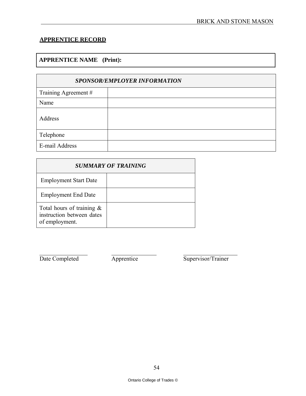# **APPRENTICE RECORD**

# **APPRENTICE NAME (Print):**

| <b>SPONSOR/EMPLOYER INFORMATION</b> |  |  |
|-------------------------------------|--|--|
| Training Agreement #                |  |  |
| Name                                |  |  |
| Address                             |  |  |
| Telephone                           |  |  |
| E-mail Address                      |  |  |

| <b>SUMMARY OF TRAINING</b>                                                  |  |  |
|-----------------------------------------------------------------------------|--|--|
| <b>Employment Start Date</b>                                                |  |  |
| <b>Employment End Date</b>                                                  |  |  |
| Total hours of training $\&$<br>instruction between dates<br>of employment. |  |  |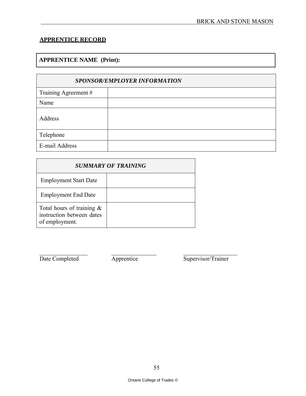# **APPRENTICE RECORD**

# **APPRENTICE NAME (Print):**

| <b>SPONSOR/EMPLOYER INFORMATION</b> |  |  |
|-------------------------------------|--|--|
| Training Agreement #                |  |  |
| Name                                |  |  |
| Address                             |  |  |
| Telephone                           |  |  |
| E-mail Address                      |  |  |

| <b>SUMMARY OF TRAINING</b>                                                  |  |  |
|-----------------------------------------------------------------------------|--|--|
| <b>Employment Start Date</b>                                                |  |  |
| <b>Employment End Date</b>                                                  |  |  |
| Total hours of training $\&$<br>instruction between dates<br>of employment. |  |  |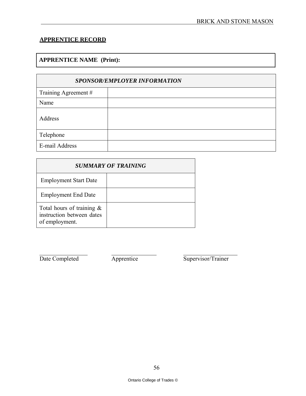# **APPRENTICE RECORD**

# **APPRENTICE NAME (Print):**

| <b>SPONSOR/EMPLOYER INFORMATION</b> |  |  |
|-------------------------------------|--|--|
| Training Agreement #                |  |  |
| Name                                |  |  |
| Address                             |  |  |
| Telephone                           |  |  |
| E-mail Address                      |  |  |

| <b>SUMMARY OF TRAINING</b>                                                  |  |  |
|-----------------------------------------------------------------------------|--|--|
| <b>Employment Start Date</b>                                                |  |  |
| <b>Employment End Date</b>                                                  |  |  |
| Total hours of training $\&$<br>instruction between dates<br>of employment. |  |  |